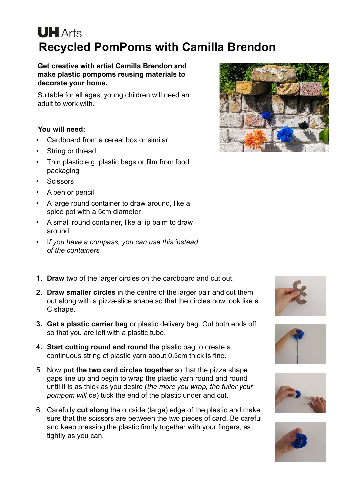## **UH** Arts **Recycled PomPoms with Camilla Brendon**

**Get creative with artist Camilla Brendon and make plastic pompoms reusing materials to decorate your home.**

Suitable for all ages, young children will need an adult to work with.

## **You will need:**

- Cardboard from a cereal box or similar
- String or thread
- Thin plastic e.g. plastic bags or film from food packaging
- **Scissors**
- A pen or pencil
- A large round container to draw around, like a spice pot with a 5cm diameter
- A small round container, like a lip balm to draw around
- I*f you have a compass, you can use this instead of the containers*
- **1. Draw** two of the larger circles on the cardboard and cut out.
- **2. Draw smaller circles** in the centre of the larger pair and cut them out along with a pizza-slice shape so that the circles now look like a C shape.
- **3. Get a plastic carrier bag** or plastic delivery bag. Cut both ends off so that you are left with a plastic tube.
- **4. Start cutting round and round** the plastic bag to create a continuous string of plastic yarn about 0.5cm thick is fine.
- 5. Now **put the two card circles together** so that the pizza shape gaps line up and begin to wrap the plastic yarn round and round until it is as thick as you desire (*the more you wrap, the fuller your pompom will be*) tuck the end of the plastic under and cut.
- 6. Carefully **cut along** the outside (large) edge of the plastic and make sure that the scissors are between the two pieces of card. Be careful and keep pressing the plastic firmly together with your fingers, as tightly as you can.